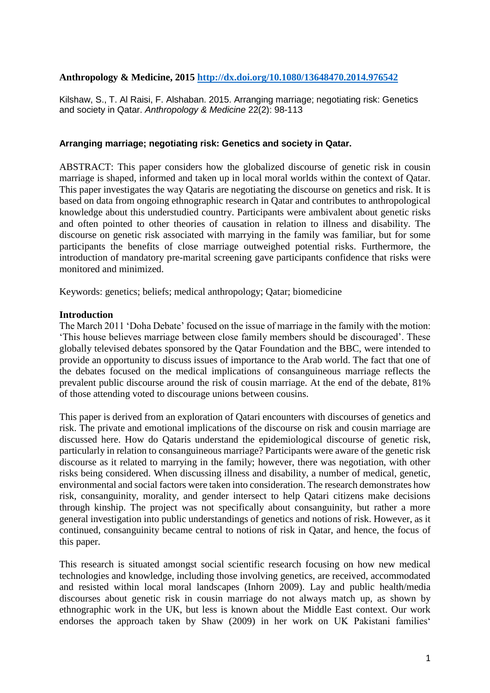## **Anthropology & Medicine, 2015<http://dx.doi.org/10.1080/13648470.2014.976542>**

Kilshaw, S., T. Al Raisi, F. Alshaban. 2015. Arranging marriage; negotiating risk: Genetics and society in Qatar. *Anthropology & Medicine* 22(2): 98-113

### **Arranging marriage; negotiating risk: Genetics and society in Qatar.**

ABSTRACT: This paper considers how the globalized discourse of genetic risk in cousin marriage is shaped, informed and taken up in local moral worlds within the context of Qatar. This paper investigates the way Qataris are negotiating the discourse on genetics and risk. It is based on data from ongoing ethnographic research in Qatar and contributes to anthropological knowledge about this understudied country. Participants were ambivalent about genetic risks and often pointed to other theories of causation in relation to illness and disability. The discourse on genetic risk associated with marrying in the family was familiar, but for some participants the benefits of close marriage outweighed potential risks. Furthermore, the introduction of mandatory pre-marital screening gave participants confidence that risks were monitored and minimized.

Keywords: genetics; beliefs; medical anthropology; Qatar; biomedicine

#### **Introduction**

The March 2011 'Doha Debate' focused on the issue of marriage in the family with the motion: 'This house believes marriage between close family members should be discouraged'. These globally televised debates sponsored by the Qatar Foundation and the BBC, were intended to provide an opportunity to discuss issues of importance to the Arab world. The fact that one of the debates focused on the medical implications of consanguineous marriage reflects the prevalent public discourse around the risk of cousin marriage. At the end of the debate, 81% of those attending voted to discourage unions between cousins.

This paper is derived from an exploration of Qatari encounters with discourses of genetics and risk. The private and emotional implications of the discourse on risk and cousin marriage are discussed here. How do Qataris understand the epidemiological discourse of genetic risk, particularly in relation to consanguineous marriage? Participants were aware of the genetic risk discourse as it related to marrying in the family; however, there was negotiation, with other risks being considered. When discussing illness and disability, a number of medical, genetic, environmental and social factors were taken into consideration. The research demonstrates how risk, consanguinity, morality, and gender intersect to help Qatari citizens make decisions through kinship. The project was not specifically about consanguinity, but rather a more general investigation into public understandings of genetics and notions of risk. However, as it continued, consanguinity became central to notions of risk in Qatar, and hence, the focus of this paper.

This research is situated amongst social scientific research focusing on how new medical technologies and knowledge, including those involving genetics, are received, accommodated and resisted within local moral landscapes (Inhorn 2009). Lay and public health/media discourses about genetic risk in cousin marriage do not always match up, as shown by ethnographic work in the UK, but less is known about the Middle East context. Our work endorses the approach taken by Shaw (2009) in her work on UK Pakistani families'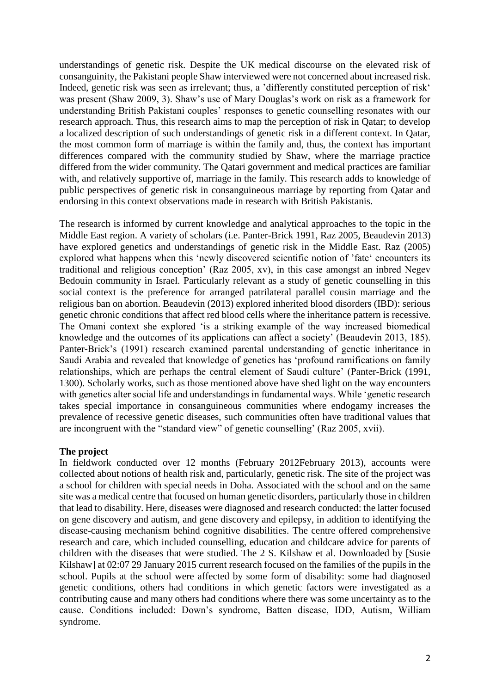understandings of genetic risk. Despite the UK medical discourse on the elevated risk of consanguinity, the Pakistani people Shaw interviewed were not concerned about increased risk. Indeed, genetic risk was seen as irrelevant; thus, a 'differently constituted perception of risk' was present (Shaw 2009, 3). Shaw's use of Mary Douglas's work on risk as a framework for understanding British Pakistani couples' responses to genetic counselling resonates with our research approach. Thus, this research aims to map the perception of risk in Qatar; to develop a localized description of such understandings of genetic risk in a different context. In Qatar, the most common form of marriage is within the family and, thus, the context has important differences compared with the community studied by Shaw, where the marriage practice differed from the wider community. The Qatari government and medical practices are familiar with, and relatively supportive of, marriage in the family. This research adds to knowledge of public perspectives of genetic risk in consanguineous marriage by reporting from Qatar and endorsing in this context observations made in research with British Pakistanis.

The research is informed by current knowledge and analytical approaches to the topic in the Middle East region. A variety of scholars (i.e. Panter-Brick 1991, Raz 2005, Beaudevin 2013) have explored genetics and understandings of genetic risk in the Middle East. Raz (2005) explored what happens when this 'newly discovered scientific notion of 'fate' encounters its traditional and religious conception' (Raz 2005, xv), in this case amongst an inbred Negev Bedouin community in Israel. Particularly relevant as a study of genetic counselling in this social context is the preference for arranged patrilateral parallel cousin marriage and the religious ban on abortion. Beaudevin (2013) explored inherited blood disorders (IBD): serious genetic chronic conditions that affect red blood cells where the inheritance pattern is recessive. The Omani context she explored 'is a striking example of the way increased biomedical knowledge and the outcomes of its applications can affect a society' (Beaudevin 2013, 185). Panter-Brick's (1991) research examined parental understanding of genetic inheritance in Saudi Arabia and revealed that knowledge of genetics has 'profound ramifications on family relationships, which are perhaps the central element of Saudi culture' (Panter-Brick (1991, 1300). Scholarly works, such as those mentioned above have shed light on the way encounters with genetics alter social life and understandings in fundamental ways. While 'genetic research takes special importance in consanguineous communities where endogamy increases the prevalence of recessive genetic diseases, such communities often have traditional values that are incongruent with the "standard view" of genetic counselling' (Raz 2005, xvii).

### **The project**

In fieldwork conducted over 12 months (February 2012February 2013), accounts were collected about notions of health risk and, particularly, genetic risk. The site of the project was a school for children with special needs in Doha. Associated with the school and on the same site was a medical centre that focused on human genetic disorders, particularly those in children that lead to disability. Here, diseases were diagnosed and research conducted: the latter focused on gene discovery and autism, and gene discovery and epilepsy, in addition to identifying the disease-causing mechanism behind cognitive disabilities. The centre offered comprehensive research and care, which included counselling, education and childcare advice for parents of children with the diseases that were studied. The 2 S. Kilshaw et al. Downloaded by [Susie Kilshaw] at 02:07 29 January 2015 current research focused on the families of the pupils in the school. Pupils at the school were affected by some form of disability: some had diagnosed genetic conditions, others had conditions in which genetic factors were investigated as a contributing cause and many others had conditions where there was some uncertainty as to the cause. Conditions included: Down's syndrome, Batten disease, IDD, Autism, William syndrome.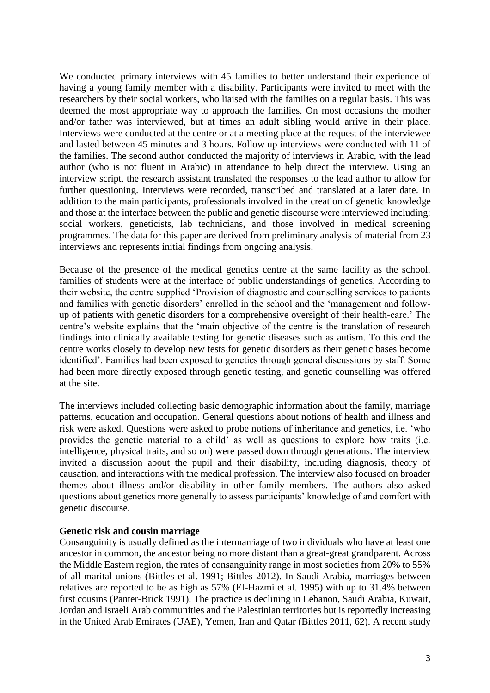We conducted primary interviews with 45 families to better understand their experience of having a young family member with a disability. Participants were invited to meet with the researchers by their social workers, who liaised with the families on a regular basis. This was deemed the most appropriate way to approach the families. On most occasions the mother and/or father was interviewed, but at times an adult sibling would arrive in their place. Interviews were conducted at the centre or at a meeting place at the request of the interviewee and lasted between 45 minutes and 3 hours. Follow up interviews were conducted with 11 of the families. The second author conducted the majority of interviews in Arabic, with the lead author (who is not fluent in Arabic) in attendance to help direct the interview. Using an interview script, the research assistant translated the responses to the lead author to allow for further questioning. Interviews were recorded, transcribed and translated at a later date. In addition to the main participants, professionals involved in the creation of genetic knowledge and those at the interface between the public and genetic discourse were interviewed including: social workers, geneticists, lab technicians, and those involved in medical screening programmes. The data for this paper are derived from preliminary analysis of material from 23 interviews and represents initial findings from ongoing analysis.

Because of the presence of the medical genetics centre at the same facility as the school, families of students were at the interface of public understandings of genetics. According to their website, the centre supplied 'Provision of diagnostic and counselling services to patients and families with genetic disorders' enrolled in the school and the 'management and followup of patients with genetic disorders for a comprehensive oversight of their health-care.' The centre's website explains that the 'main objective of the centre is the translation of research findings into clinically available testing for genetic diseases such as autism. To this end the centre works closely to develop new tests for genetic disorders as their genetic bases become identified'. Families had been exposed to genetics through general discussions by staff. Some had been more directly exposed through genetic testing, and genetic counselling was offered at the site.

The interviews included collecting basic demographic information about the family, marriage patterns, education and occupation. General questions about notions of health and illness and risk were asked. Questions were asked to probe notions of inheritance and genetics, i.e. 'who provides the genetic material to a child' as well as questions to explore how traits (i.e. intelligence, physical traits, and so on) were passed down through generations. The interview invited a discussion about the pupil and their disability, including diagnosis, theory of causation, and interactions with the medical profession. The interview also focused on broader themes about illness and/or disability in other family members. The authors also asked questions about genetics more generally to assess participants' knowledge of and comfort with genetic discourse.

#### **Genetic risk and cousin marriage**

Consanguinity is usually defined as the intermarriage of two individuals who have at least one ancestor in common, the ancestor being no more distant than a great-great grandparent. Across the Middle Eastern region, the rates of consanguinity range in most societies from 20% to 55% of all marital unions (Bittles et al. 1991; Bittles 2012). In Saudi Arabia, marriages between relatives are reported to be as high as 57% (El-Hazmi et al. 1995) with up to 31.4% between first cousins (Panter-Brick 1991). The practice is declining in Lebanon, Saudi Arabia, Kuwait, Jordan and Israeli Arab communities and the Palestinian territories but is reportedly increasing in the United Arab Emirates (UAE), Yemen, Iran and Qatar (Bittles 2011, 62). A recent study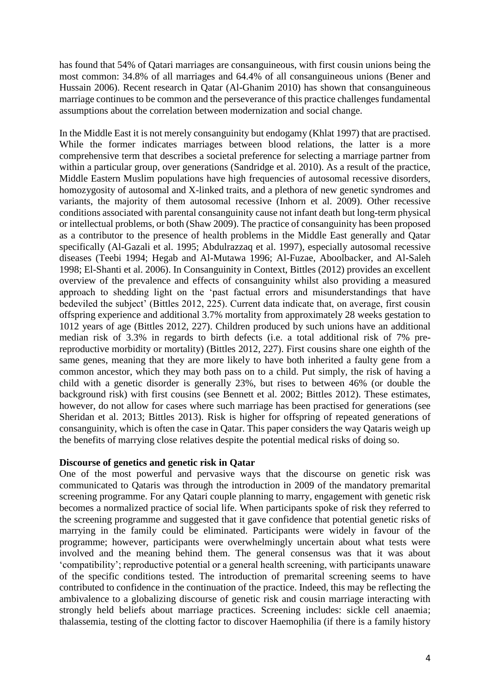has found that 54% of Qatari marriages are consanguineous, with first cousin unions being the most common: 34.8% of all marriages and 64.4% of all consanguineous unions (Bener and Hussain 2006). Recent research in Qatar (Al-Ghanim 2010) has shown that consanguineous marriage continues to be common and the perseverance of this practice challenges fundamental assumptions about the correlation between modernization and social change.

In the Middle East it is not merely consanguinity but endogamy (Khlat 1997) that are practised. While the former indicates marriages between blood relations, the latter is a more comprehensive term that describes a societal preference for selecting a marriage partner from within a particular group, over generations (Sandridge et al. 2010). As a result of the practice, Middle Eastern Muslim populations have high frequencies of autosomal recessive disorders, homozygosity of autosomal and X-linked traits, and a plethora of new genetic syndromes and variants, the majority of them autosomal recessive (Inhorn et al. 2009). Other recessive conditions associated with parental consanguinity cause not infant death but long-term physical or intellectual problems, or both (Shaw 2009). The practice of consanguinity has been proposed as a contributor to the presence of health problems in the Middle East generally and Qatar specifically (Al-Gazali et al. 1995; Abdulrazzaq et al. 1997), especially autosomal recessive diseases (Teebi 1994; Hegab and Al-Mutawa 1996; Al-Fuzae, Aboolbacker, and Al-Saleh 1998; El-Shanti et al. 2006). In Consanguinity in Context, Bittles (2012) provides an excellent overview of the prevalence and effects of consanguinity whilst also providing a measured approach to shedding light on the 'past factual errors and misunderstandings that have bedeviled the subject' (Bittles 2012, 225). Current data indicate that, on average, first cousin offspring experience and additional 3.7% mortality from approximately 28 weeks gestation to 1012 years of age (Bittles 2012, 227). Children produced by such unions have an additional median risk of 3.3% in regards to birth defects (i.e. a total additional risk of 7% prereproductive morbidity or mortality) (Bittles 2012, 227). First cousins share one eighth of the same genes, meaning that they are more likely to have both inherited a faulty gene from a common ancestor, which they may both pass on to a child. Put simply, the risk of having a child with a genetic disorder is generally 23%, but rises to between 46% (or double the background risk) with first cousins (see Bennett et al. 2002; Bittles 2012). These estimates, however, do not allow for cases where such marriage has been practised for generations (see Sheridan et al. 2013; Bittles 2013). Risk is higher for offspring of repeated generations of consanguinity, which is often the case in Qatar. This paper considers the way Qataris weigh up the benefits of marrying close relatives despite the potential medical risks of doing so.

### **Discourse of genetics and genetic risk in Qatar**

One of the most powerful and pervasive ways that the discourse on genetic risk was communicated to Qataris was through the introduction in 2009 of the mandatory premarital screening programme. For any Qatari couple planning to marry, engagement with genetic risk becomes a normalized practice of social life. When participants spoke of risk they referred to the screening programme and suggested that it gave confidence that potential genetic risks of marrying in the family could be eliminated. Participants were widely in favour of the programme; however, participants were overwhelmingly uncertain about what tests were involved and the meaning behind them. The general consensus was that it was about 'compatibility'; reproductive potential or a general health screening, with participants unaware of the specific conditions tested. The introduction of premarital screening seems to have contributed to confidence in the continuation of the practice. Indeed, this may be reflecting the ambivalence to a globalizing discourse of genetic risk and cousin marriage interacting with strongly held beliefs about marriage practices. Screening includes: sickle cell anaemia; thalassemia, testing of the clotting factor to discover Haemophilia (if there is a family history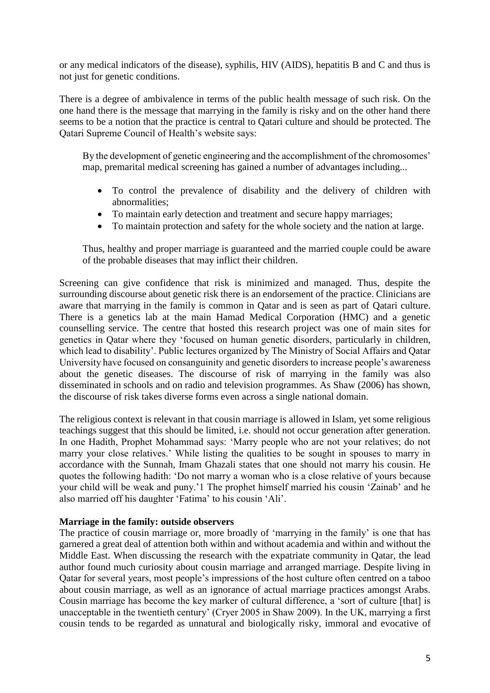or any medical indicators of the disease), syphilis, HIV (AIDS), hepatitis B and C and thus is not just for genetic conditions.

There is a degree of ambivalence in terms of the public health message of such risk. On the one hand there is the message that marrying in the family is risky and on the other hand there seems to be a notion that the practice is central to Qatari culture and should be protected. The Qatari Supreme Council of Health's website says:

By the development of genetic engineering and the accomplishment of the chromosomes' map, premarital medical screening has gained a number of advantages including...

- To control the prevalence of disability and the delivery of children with abnormalities;
- To maintain early detection and treatment and secure happy marriages;
- To maintain protection and safety for the whole society and the nation at large.

Thus, healthy and proper marriage is guaranteed and the married couple could be aware of the probable diseases that may inflict their children.

Screening can give confidence that risk is minimized and managed. Thus, despite the surrounding discourse about genetic risk there is an endorsement of the practice. Clinicians are aware that marrying in the family is common in Qatar and is seen as part of Qatari culture. There is a genetics lab at the main Hamad Medical Corporation (HMC) and a genetic counselling service. The centre that hosted this research project was one of main sites for genetics in Qatar where they 'focused on human genetic disorders, particularly in children, which lead to disability'. Public lectures organized by The Ministry of Social Affairs and Qatar University have focused on consanguinity and genetic disorders to increase people's awareness about the genetic diseases. The discourse of risk of marrying in the family was also disseminated in schools and on radio and television programmes. As Shaw (2006) has shown, the discourse of risk takes diverse forms even across a single national domain.

The religious context is relevant in that cousin marriage is allowed in Islam, yet some religious teachings suggest that this should be limited, i.e. should not occur generation after generation. In one Hadith, Prophet Mohammad says: 'Marry people who are not your relatives; do not marry your close relatives.' While listing the qualities to be sought in spouses to marry in accordance with the Sunnah, Imam Ghazali states that one should not marry his cousin. He quotes the following hadith: 'Do not marry a woman who is a close relative of yours because your child will be weak and puny.'1 The prophet himself married his cousin 'Zainab' and he also married off his daughter 'Fatima' to his cousin 'Ali'.

### **Marriage in the family: outside observers**

The practice of cousin marriage or, more broadly of 'marrying in the family' is one that has garnered a great deal of attention both within and without academia and within and without the Middle East. When discussing the research with the expatriate community in Qatar, the lead author found much curiosity about cousin marriage and arranged marriage. Despite living in Qatar for several years, most people's impressions of the host culture often centred on a taboo about cousin marriage, as well as an ignorance of actual marriage practices amongst Arabs. Cousin marriage has become the key marker of cultural difference, a 'sort of culture [that] is unacceptable in the twentieth century' (Cryer 2005 in Shaw 2009). In the UK, marrying a first cousin tends to be regarded as unnatural and biologically risky, immoral and evocative of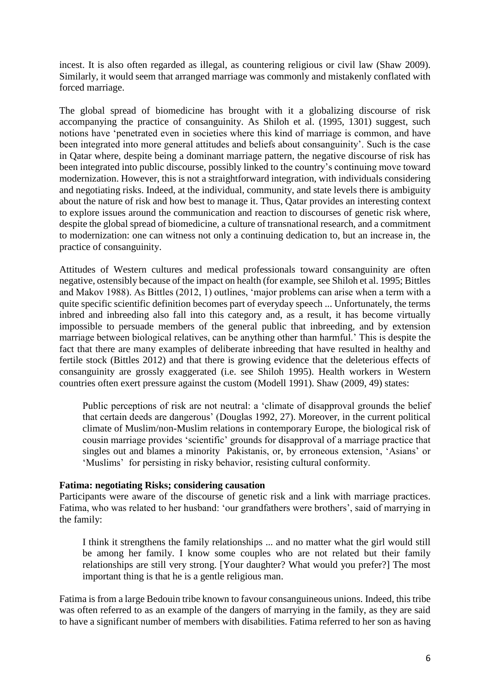incest. It is also often regarded as illegal, as countering religious or civil law (Shaw 2009). Similarly, it would seem that arranged marriage was commonly and mistakenly conflated with forced marriage.

The global spread of biomedicine has brought with it a globalizing discourse of risk accompanying the practice of consanguinity. As Shiloh et al. (1995, 1301) suggest, such notions have 'penetrated even in societies where this kind of marriage is common, and have been integrated into more general attitudes and beliefs about consanguinity'. Such is the case in Qatar where, despite being a dominant marriage pattern, the negative discourse of risk has been integrated into public discourse, possibly linked to the country's continuing move toward modernization. However, this is not a straightforward integration, with individuals considering and negotiating risks. Indeed, at the individual, community, and state levels there is ambiguity about the nature of risk and how best to manage it. Thus, Qatar provides an interesting context to explore issues around the communication and reaction to discourses of genetic risk where, despite the global spread of biomedicine, a culture of transnational research, and a commitment to modernization: one can witness not only a continuing dedication to, but an increase in, the practice of consanguinity.

Attitudes of Western cultures and medical professionals toward consanguinity are often negative, ostensibly because of the impact on health (for example, see Shiloh et al. 1995; Bittles and Makov 1988). As Bittles (2012, 1) outlines, 'major problems can arise when a term with a quite specific scientific definition becomes part of everyday speech ... Unfortunately, the terms inbred and inbreeding also fall into this category and, as a result, it has become virtually impossible to persuade members of the general public that inbreeding, and by extension marriage between biological relatives, can be anything other than harmful.' This is despite the fact that there are many examples of deliberate inbreeding that have resulted in healthy and fertile stock (Bittles 2012) and that there is growing evidence that the deleterious effects of consanguinity are grossly exaggerated (i.e. see Shiloh 1995). Health workers in Western countries often exert pressure against the custom (Modell 1991). Shaw (2009, 49) states:

Public perceptions of risk are not neutral: a 'climate of disapproval grounds the belief that certain deeds are dangerous' (Douglas 1992, 27). Moreover, in the current political climate of Muslim/non-Muslim relations in contemporary Europe, the biological risk of cousin marriage provides 'scientific' grounds for disapproval of a marriage practice that singles out and blames a minority Pakistanis, or, by erroneous extension, 'Asians' or 'Muslims' for persisting in risky behavior, resisting cultural conformity.

### **Fatima: negotiating Risks; considering causation**

Participants were aware of the discourse of genetic risk and a link with marriage practices. Fatima, who was related to her husband: 'our grandfathers were brothers', said of marrying in the family:

I think it strengthens the family relationships ... and no matter what the girl would still be among her family. I know some couples who are not related but their family relationships are still very strong. [Your daughter? What would you prefer?] The most important thing is that he is a gentle religious man.

Fatima is from a large Bedouin tribe known to favour consanguineous unions. Indeed, this tribe was often referred to as an example of the dangers of marrying in the family, as they are said to have a significant number of members with disabilities. Fatima referred to her son as having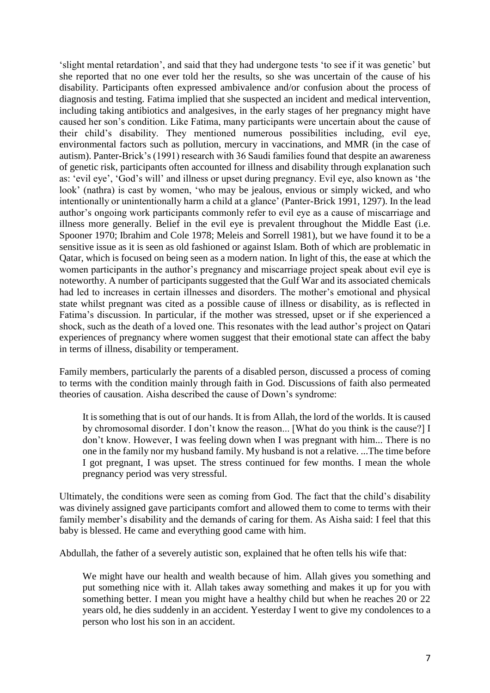'slight mental retardation', and said that they had undergone tests 'to see if it was genetic' but she reported that no one ever told her the results, so she was uncertain of the cause of his disability. Participants often expressed ambivalence and/or confusion about the process of diagnosis and testing. Fatima implied that she suspected an incident and medical intervention, including taking antibiotics and analgesives, in the early stages of her pregnancy might have caused her son's condition. Like Fatima, many participants were uncertain about the cause of their child's disability. They mentioned numerous possibilities including, evil eye, environmental factors such as pollution, mercury in vaccinations, and MMR (in the case of autism). Panter-Brick's (1991) research with 36 Saudi families found that despite an awareness of genetic risk, participants often accounted for illness and disability through explanation such as: 'evil eye', 'God's will' and illness or upset during pregnancy. Evil eye, also known as 'the look' (nathra) is cast by women, 'who may be jealous, envious or simply wicked, and who intentionally or unintentionally harm a child at a glance' (Panter-Brick 1991, 1297). In the lead author's ongoing work participants commonly refer to evil eye as a cause of miscarriage and illness more generally. Belief in the evil eye is prevalent throughout the Middle East (i.e. Spooner 1970; Ibrahim and Cole 1978; Meleis and Sorrell 1981), but we have found it to be a sensitive issue as it is seen as old fashioned or against Islam. Both of which are problematic in Qatar, which is focused on being seen as a modern nation. In light of this, the ease at which the women participants in the author's pregnancy and miscarriage project speak about evil eye is noteworthy. A number of participants suggested that the Gulf War and its associated chemicals had led to increases in certain illnesses and disorders. The mother's emotional and physical state whilst pregnant was cited as a possible cause of illness or disability, as is reflected in Fatima's discussion. In particular, if the mother was stressed, upset or if she experienced a shock, such as the death of a loved one. This resonates with the lead author's project on Qatari experiences of pregnancy where women suggest that their emotional state can affect the baby in terms of illness, disability or temperament.

Family members, particularly the parents of a disabled person, discussed a process of coming to terms with the condition mainly through faith in God. Discussions of faith also permeated theories of causation. Aisha described the cause of Down's syndrome:

It is something that is out of our hands. It is from Allah, the lord of the worlds. It is caused by chromosomal disorder. I don't know the reason... [What do you think is the cause?] I don't know. However, I was feeling down when I was pregnant with him... There is no one in the family nor my husband family. My husband is not a relative. ...The time before I got pregnant, I was upset. The stress continued for few months. I mean the whole pregnancy period was very stressful.

Ultimately, the conditions were seen as coming from God. The fact that the child's disability was divinely assigned gave participants comfort and allowed them to come to terms with their family member's disability and the demands of caring for them. As Aisha said: I feel that this baby is blessed. He came and everything good came with him.

Abdullah, the father of a severely autistic son, explained that he often tells his wife that:

We might have our health and wealth because of him. Allah gives you something and put something nice with it. Allah takes away something and makes it up for you with something better. I mean you might have a healthy child but when he reaches 20 or 22 years old, he dies suddenly in an accident. Yesterday I went to give my condolences to a person who lost his son in an accident.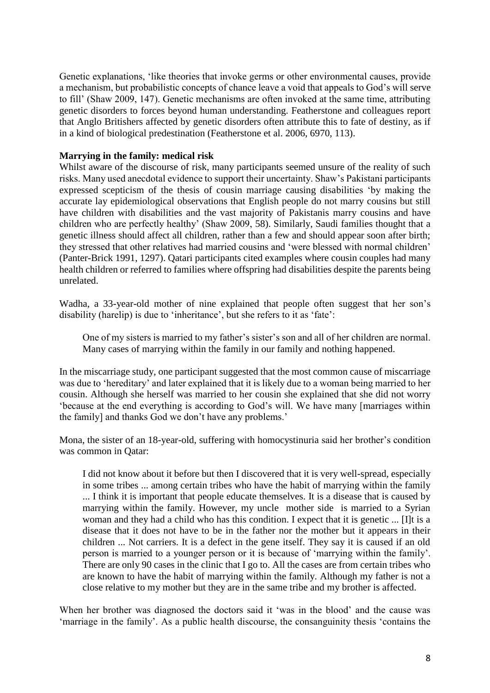Genetic explanations, 'like theories that invoke germs or other environmental causes, provide a mechanism, but probabilistic concepts of chance leave a void that appeals to God's will serve to fill' (Shaw 2009, 147). Genetic mechanisms are often invoked at the same time, attributing genetic disorders to forces beyond human understanding. Featherstone and colleagues report that Anglo Britishers affected by genetic disorders often attribute this to fate of destiny, as if in a kind of biological predestination (Featherstone et al. 2006, 6970, 113).

## **Marrying in the family: medical risk**

Whilst aware of the discourse of risk, many participants seemed unsure of the reality of such risks. Many used anecdotal evidence to support their uncertainty. Shaw's Pakistani participants expressed scepticism of the thesis of cousin marriage causing disabilities 'by making the accurate lay epidemiological observations that English people do not marry cousins but still have children with disabilities and the vast majority of Pakistanis marry cousins and have children who are perfectly healthy' (Shaw 2009, 58). Similarly, Saudi families thought that a genetic illness should affect all children, rather than a few and should appear soon after birth; they stressed that other relatives had married cousins and 'were blessed with normal children' (Panter-Brick 1991, 1297). Qatari participants cited examples where cousin couples had many health children or referred to families where offspring had disabilities despite the parents being unrelated.

Wadha, a 33-year-old mother of nine explained that people often suggest that her son's disability (harelip) is due to 'inheritance', but she refers to it as 'fate':

One of my sisters is married to my father's sister's son and all of her children are normal. Many cases of marrying within the family in our family and nothing happened.

In the miscarriage study, one participant suggested that the most common cause of miscarriage was due to 'hereditary' and later explained that it is likely due to a woman being married to her cousin. Although she herself was married to her cousin she explained that she did not worry 'because at the end everything is according to God's will. We have many [marriages within the family] and thanks God we don't have any problems.'

Mona, the sister of an 18-year-old, suffering with homocystinuria said her brother's condition was common in Qatar:

I did not know about it before but then I discovered that it is very well-spread, especially in some tribes ... among certain tribes who have the habit of marrying within the family ... I think it is important that people educate themselves. It is a disease that is caused by marrying within the family. However, my uncle mother side is married to a Syrian woman and they had a child who has this condition. I expect that it is genetic ... [I]t is a disease that it does not have to be in the father nor the mother but it appears in their children ... Not carriers. It is a defect in the gene itself. They say it is caused if an old person is married to a younger person or it is because of 'marrying within the family'. There are only 90 cases in the clinic that I go to. All the cases are from certain tribes who are known to have the habit of marrying within the family. Although my father is not a close relative to my mother but they are in the same tribe and my brother is affected.

When her brother was diagnosed the doctors said it 'was in the blood' and the cause was 'marriage in the family'. As a public health discourse, the consanguinity thesis 'contains the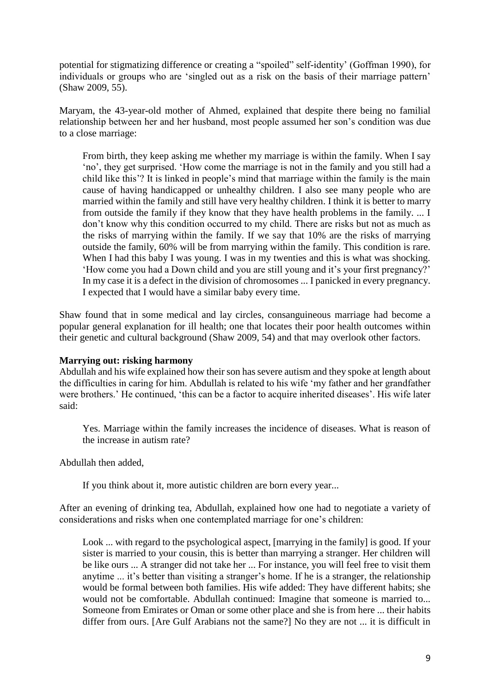potential for stigmatizing difference or creating a "spoiled" self-identity' (Goffman 1990), for individuals or groups who are 'singled out as a risk on the basis of their marriage pattern' (Shaw 2009, 55).

Maryam, the 43-year-old mother of Ahmed, explained that despite there being no familial relationship between her and her husband, most people assumed her son's condition was due to a close marriage:

From birth, they keep asking me whether my marriage is within the family. When I say 'no', they get surprised. 'How come the marriage is not in the family and you still had a child like this'? It is linked in people's mind that marriage within the family is the main cause of having handicapped or unhealthy children. I also see many people who are married within the family and still have very healthy children. I think it is better to marry from outside the family if they know that they have health problems in the family. ... I don't know why this condition occurred to my child. There are risks but not as much as the risks of marrying within the family. If we say that 10% are the risks of marrying outside the family, 60% will be from marrying within the family. This condition is rare. When I had this baby I was young. I was in my twenties and this is what was shocking. 'How come you had a Down child and you are still young and it's your first pregnancy?' In my case it is a defect in the division of chromosomes ... I panicked in every pregnancy. I expected that I would have a similar baby every time.

Shaw found that in some medical and lay circles, consanguineous marriage had become a popular general explanation for ill health; one that locates their poor health outcomes within their genetic and cultural background (Shaw 2009, 54) and that may overlook other factors.

### **Marrying out: risking harmony**

Abdullah and his wife explained how their son has severe autism and they spoke at length about the difficulties in caring for him. Abdullah is related to his wife 'my father and her grandfather were brothers.' He continued, 'this can be a factor to acquire inherited diseases'. His wife later said:

Yes. Marriage within the family increases the incidence of diseases. What is reason of the increase in autism rate?

Abdullah then added,

If you think about it, more autistic children are born every year...

After an evening of drinking tea, Abdullah, explained how one had to negotiate a variety of considerations and risks when one contemplated marriage for one's children:

Look ... with regard to the psychological aspect, [marrying in the family] is good. If your sister is married to your cousin, this is better than marrying a stranger. Her children will be like ours ... A stranger did not take her ... For instance, you will feel free to visit them anytime ... it's better than visiting a stranger's home. If he is a stranger, the relationship would be formal between both families. His wife added: They have different habits; she would not be comfortable. Abdullah continued: Imagine that someone is married to... Someone from Emirates or Oman or some other place and she is from here ... their habits differ from ours. [Are Gulf Arabians not the same?] No they are not ... it is difficult in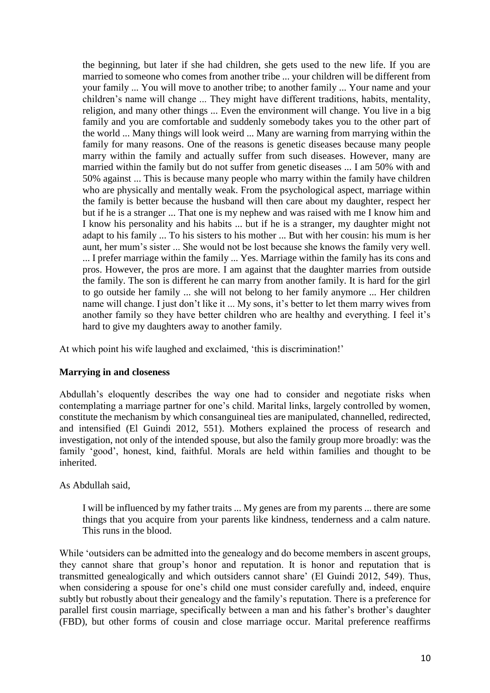the beginning, but later if she had children, she gets used to the new life. If you are married to someone who comes from another tribe ... your children will be different from your family ... You will move to another tribe; to another family ... Your name and your children's name will change ... They might have different traditions, habits, mentality, religion, and many other things ... Even the environment will change. You live in a big family and you are comfortable and suddenly somebody takes you to the other part of the world ... Many things will look weird ... Many are warning from marrying within the family for many reasons. One of the reasons is genetic diseases because many people marry within the family and actually suffer from such diseases. However, many are married within the family but do not suffer from genetic diseases ... I am 50% with and 50% against ... This is because many people who marry within the family have children who are physically and mentally weak. From the psychological aspect, marriage within the family is better because the husband will then care about my daughter, respect her but if he is a stranger ... That one is my nephew and was raised with me I know him and I know his personality and his habits ... but if he is a stranger, my daughter might not adapt to his family ... To his sisters to his mother ... But with her cousin: his mum is her aunt, her mum's sister ... She would not be lost because she knows the family very well. ... I prefer marriage within the family ... Yes. Marriage within the family has its cons and pros. However, the pros are more. I am against that the daughter marries from outside the family. The son is different he can marry from another family. It is hard for the girl to go outside her family ... she will not belong to her family anymore ... Her children name will change. I just don't like it ... My sons, it's better to let them marry wives from another family so they have better children who are healthy and everything. I feel it's hard to give my daughters away to another family.

At which point his wife laughed and exclaimed, 'this is discrimination!'

### **Marrying in and closeness**

Abdullah's eloquently describes the way one had to consider and negotiate risks when contemplating a marriage partner for one's child. Marital links, largely controlled by women, constitute the mechanism by which consanguineal ties are manipulated, channelled, redirected, and intensified (El Guindi 2012, 551). Mothers explained the process of research and investigation, not only of the intended spouse, but also the family group more broadly: was the family 'good', honest, kind, faithful. Morals are held within families and thought to be inherited.

# As Abdullah said,

I will be influenced by my father traits ... My genes are from my parents ... there are some things that you acquire from your parents like kindness, tenderness and a calm nature. This runs in the blood.

While 'outsiders can be admitted into the genealogy and do become members in ascent groups, they cannot share that group's honor and reputation. It is honor and reputation that is transmitted genealogically and which outsiders cannot share' (El Guindi 2012, 549). Thus, when considering a spouse for one's child one must consider carefully and, indeed, enquire subtly but robustly about their genealogy and the family's reputation. There is a preference for parallel first cousin marriage, specifically between a man and his father's brother's daughter (FBD), but other forms of cousin and close marriage occur. Marital preference reaffirms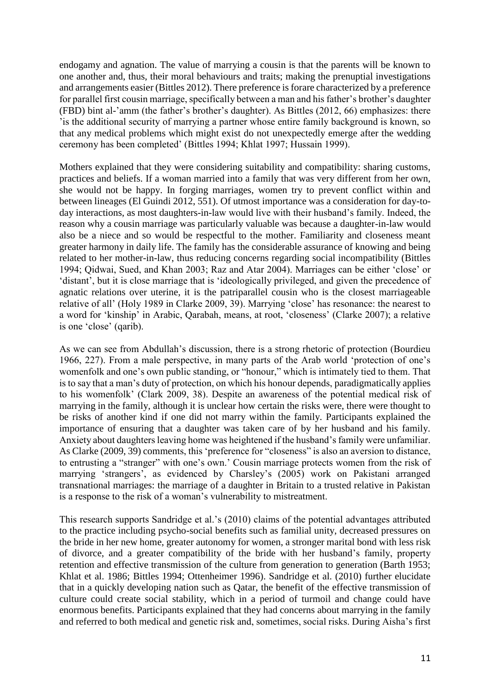endogamy and agnation. The value of marrying a cousin is that the parents will be known to one another and, thus, their moral behaviours and traits; making the prenuptial investigations and arrangements easier (Bittles 2012). There preference is forare characterized by a preference for parallel first cousin marriage, specifically between a man and his father's brother's daughter (FBD) bint al-'amm (the father's brother's daughter). As Bittles (2012, 66) emphasizes: there 'is the additional security of marrying a partner whose entire family background is known, so that any medical problems which might exist do not unexpectedly emerge after the wedding ceremony has been completed' (Bittles 1994; Khlat 1997; Hussain 1999).

Mothers explained that they were considering suitability and compatibility: sharing customs, practices and beliefs. If a woman married into a family that was very different from her own, she would not be happy. In forging marriages, women try to prevent conflict within and between lineages (El Guindi 2012, 551). Of utmost importance was a consideration for day-today interactions, as most daughters-in-law would live with their husband's family. Indeed, the reason why a cousin marriage was particularly valuable was because a daughter-in-law would also be a niece and so would be respectful to the mother. Familiarity and closeness meant greater harmony in daily life. The family has the considerable assurance of knowing and being related to her mother-in-law, thus reducing concerns regarding social incompatibility (Bittles 1994; Qidwai, Sued, and Khan 2003; Raz and Atar 2004). Marriages can be either 'close' or 'distant', but it is close marriage that is 'ideologically privileged, and given the precedence of agnatic relations over uterine, it is the patriparallel cousin who is the closest marriageable relative of all' (Holy 1989 in Clarke 2009, 39). Marrying 'close' has resonance: the nearest to a word for 'kinship' in Arabic, Qarabah, means, at root, 'closeness' (Clarke 2007); a relative is one 'close' (qarib).

As we can see from Abdullah's discussion, there is a strong rhetoric of protection (Bourdieu 1966, 227). From a male perspective, in many parts of the Arab world 'protection of one's womenfolk and one's own public standing, or "honour," which is intimately tied to them. That is to say that a man's duty of protection, on which his honour depends, paradigmatically applies to his womenfolk' (Clark 2009, 38). Despite an awareness of the potential medical risk of marrying in the family, although it is unclear how certain the risks were, there were thought to be risks of another kind if one did not marry within the family. Participants explained the importance of ensuring that a daughter was taken care of by her husband and his family. Anxiety about daughters leaving home was heightened if the husband's family were unfamiliar. As Clarke (2009, 39) comments, this 'preference for "closeness" is also an aversion to distance, to entrusting a "stranger" with one's own.' Cousin marriage protects women from the risk of marrying 'strangers', as evidenced by Charsley's (2005) work on Pakistani arranged transnational marriages: the marriage of a daughter in Britain to a trusted relative in Pakistan is a response to the risk of a woman's vulnerability to mistreatment.

This research supports Sandridge et al.'s (2010) claims of the potential advantages attributed to the practice including psycho-social benefits such as familial unity, decreased pressures on the bride in her new home, greater autonomy for women, a stronger marital bond with less risk of divorce, and a greater compatibility of the bride with her husband's family, property retention and effective transmission of the culture from generation to generation (Barth 1953; Khlat et al. 1986; Bittles 1994; Ottenheimer 1996). Sandridge et al. (2010) further elucidate that in a quickly developing nation such as Qatar, the benefit of the effective transmission of culture could create social stability, which in a period of turmoil and change could have enormous benefits. Participants explained that they had concerns about marrying in the family and referred to both medical and genetic risk and, sometimes, social risks. During Aisha's first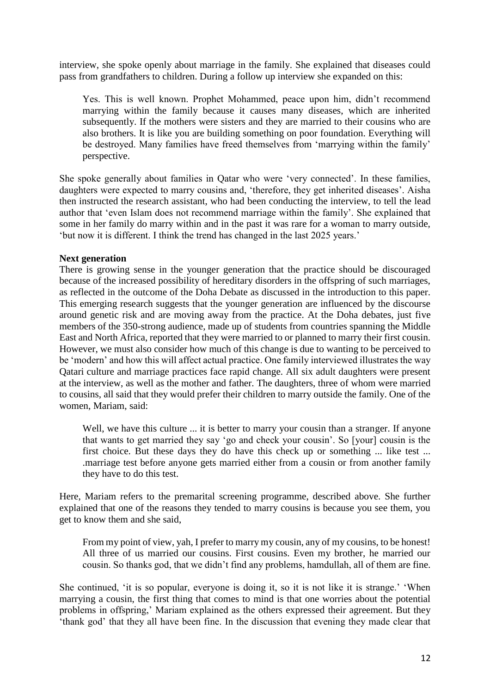interview, she spoke openly about marriage in the family. She explained that diseases could pass from grandfathers to children. During a follow up interview she expanded on this:

Yes. This is well known. Prophet Mohammed, peace upon him, didn't recommend marrying within the family because it causes many diseases, which are inherited subsequently. If the mothers were sisters and they are married to their cousins who are also brothers. It is like you are building something on poor foundation. Everything will be destroyed. Many families have freed themselves from 'marrying within the family' perspective.

She spoke generally about families in Qatar who were 'very connected'. In these families, daughters were expected to marry cousins and, 'therefore, they get inherited diseases'. Aisha then instructed the research assistant, who had been conducting the interview, to tell the lead author that 'even Islam does not recommend marriage within the family'. She explained that some in her family do marry within and in the past it was rare for a woman to marry outside, 'but now it is different. I think the trend has changed in the last 2025 years.'

### **Next generation**

There is growing sense in the younger generation that the practice should be discouraged because of the increased possibility of hereditary disorders in the offspring of such marriages, as reflected in the outcome of the Doha Debate as discussed in the introduction to this paper. This emerging research suggests that the younger generation are influenced by the discourse around genetic risk and are moving away from the practice. At the Doha debates, just five members of the 350-strong audience, made up of students from countries spanning the Middle East and North Africa, reported that they were married to or planned to marry their first cousin. However, we must also consider how much of this change is due to wanting to be perceived to be 'modern' and how this will affect actual practice. One family interviewed illustrates the way Qatari culture and marriage practices face rapid change. All six adult daughters were present at the interview, as well as the mother and father. The daughters, three of whom were married to cousins, all said that they would prefer their children to marry outside the family. One of the women, Mariam, said:

Well, we have this culture ... it is better to marry your cousin than a stranger. If anyone that wants to get married they say 'go and check your cousin'. So [your] cousin is the first choice. But these days they do have this check up or something ... like test ... .marriage test before anyone gets married either from a cousin or from another family they have to do this test.

Here, Mariam refers to the premarital screening programme, described above. She further explained that one of the reasons they tended to marry cousins is because you see them, you get to know them and she said,

From my point of view, yah, I prefer to marry my cousin, any of my cousins, to be honest! All three of us married our cousins. First cousins. Even my brother, he married our cousin. So thanks god, that we didn't find any problems, hamdullah, all of them are fine.

She continued, 'it is so popular, everyone is doing it, so it is not like it is strange.' 'When marrying a cousin, the first thing that comes to mind is that one worries about the potential problems in offspring,' Mariam explained as the others expressed their agreement. But they 'thank god' that they all have been fine. In the discussion that evening they made clear that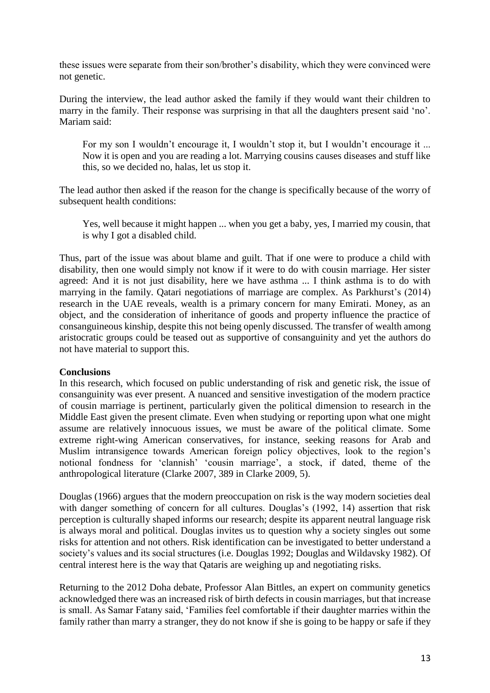these issues were separate from their son/brother's disability, which they were convinced were not genetic.

During the interview, the lead author asked the family if they would want their children to marry in the family. Their response was surprising in that all the daughters present said 'no'. Mariam said:

For my son I wouldn't encourage it, I wouldn't stop it, but I wouldn't encourage it ... Now it is open and you are reading a lot. Marrying cousins causes diseases and stuff like this, so we decided no, halas, let us stop it.

The lead author then asked if the reason for the change is specifically because of the worry of subsequent health conditions:

Yes, well because it might happen ... when you get a baby, yes, I married my cousin, that is why I got a disabled child.

Thus, part of the issue was about blame and guilt. That if one were to produce a child with disability, then one would simply not know if it were to do with cousin marriage. Her sister agreed: And it is not just disability, here we have asthma ... I think asthma is to do with marrying in the family. Qatari negotiations of marriage are complex. As Parkhurst's (2014) research in the UAE reveals, wealth is a primary concern for many Emirati. Money, as an object, and the consideration of inheritance of goods and property influence the practice of consanguineous kinship, despite this not being openly discussed. The transfer of wealth among aristocratic groups could be teased out as supportive of consanguinity and yet the authors do not have material to support this.

### **Conclusions**

In this research, which focused on public understanding of risk and genetic risk, the issue of consanguinity was ever present. A nuanced and sensitive investigation of the modern practice of cousin marriage is pertinent, particularly given the political dimension to research in the Middle East given the present climate. Even when studying or reporting upon what one might assume are relatively innocuous issues, we must be aware of the political climate. Some extreme right-wing American conservatives, for instance, seeking reasons for Arab and Muslim intransigence towards American foreign policy objectives, look to the region's notional fondness for 'clannish' 'cousin marriage', a stock, if dated, theme of the anthropological literature (Clarke 2007, 389 in Clarke 2009, 5).

Douglas (1966) argues that the modern preoccupation on risk is the way modern societies deal with danger something of concern for all cultures. Douglas's (1992, 14) assertion that risk perception is culturally shaped informs our research; despite its apparent neutral language risk is always moral and political. Douglas invites us to question why a society singles out some risks for attention and not others. Risk identification can be investigated to better understand a society's values and its social structures (i.e. Douglas 1992; Douglas and Wildavsky 1982). Of central interest here is the way that Qataris are weighing up and negotiating risks.

Returning to the 2012 Doha debate, Professor Alan Bittles, an expert on community genetics acknowledged there was an increased risk of birth defects in cousin marriages, but that increase is small. As Samar Fatany said, 'Families feel comfortable if their daughter marries within the family rather than marry a stranger, they do not know if she is going to be happy or safe if they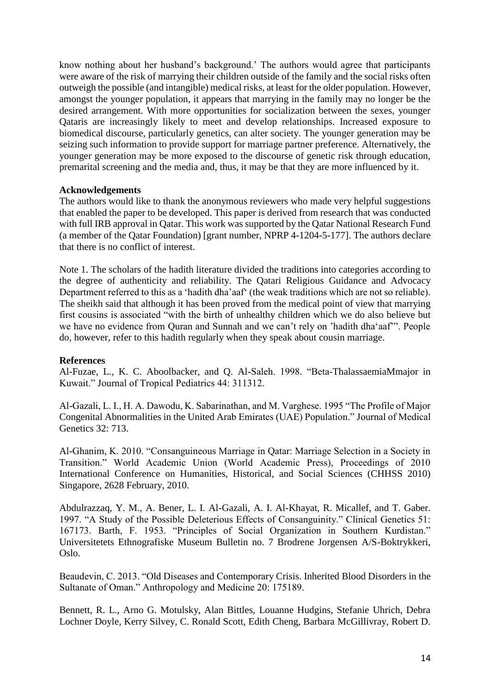know nothing about her husband's background.' The authors would agree that participants were aware of the risk of marrying their children outside of the family and the social risks often outweigh the possible (and intangible) medical risks, at least for the older population. However, amongst the younger population, it appears that marrying in the family may no longer be the desired arrangement. With more opportunities for socialization between the sexes, younger Qataris are increasingly likely to meet and develop relationships. Increased exposure to biomedical discourse, particularly genetics, can alter society. The younger generation may be seizing such information to provide support for marriage partner preference. Alternatively, the younger generation may be more exposed to the discourse of genetic risk through education, premarital screening and the media and, thus, it may be that they are more influenced by it.

### **Acknowledgements**

The authors would like to thank the anonymous reviewers who made very helpful suggestions that enabled the paper to be developed. This paper is derived from research that was conducted with full IRB approval in Qatar. This work was supported by the Qatar National Research Fund (a member of the Qatar Foundation) [grant number, NPRP 4-1204-5-177]. The authors declare that there is no conflict of interest.

Note 1. The scholars of the hadith literature divided the traditions into categories according to the degree of authenticity and reliability. The Qatari Religious Guidance and Advocacy Department referred to this as a 'hadith dha'aaf' (the weak traditions which are not so reliable). The sheikh said that although it has been proved from the medical point of view that marrying first cousins is associated "with the birth of unhealthy children which we do also believe but we have no evidence from Quran and Sunnah and we can't rely on 'hadith dha'aaf'". People do, however, refer to this hadith regularly when they speak about cousin marriage.

### **References**

Al-Fuzae, L., K. C. Aboolbacker, and Q. Al-Saleh. 1998. "Beta-ThalassaemiaMmajor in Kuwait." Journal of Tropical Pediatrics 44: 311312.

Al-Gazali, L. I., H. A. Dawodu, K. Sabarinathan, and M. Varghese. 1995 "The Profile of Major Congenital Abnormalities in the United Arab Emirates (UAE) Population." Journal of Medical Genetics 32: 713.

Al-Ghanim, K. 2010. "Consanguineous Marriage in Qatar: Marriage Selection in a Society in Transition." World Academic Union (World Academic Press), Proceedings of 2010 International Conference on Humanities, Historical, and Social Sciences (CHHSS 2010) Singapore, 2628 February, 2010.

Abdulrazzaq, Y. M., A. Bener, L. I. Al-Gazali, A. I. Al-Khayat, R. Micallef, and T. Gaber. 1997. "A Study of the Possible Deleterious Effects of Consanguinity." Clinical Genetics 51: 167173. Barth, F. 1953. "Principles of Social Organization in Southern Kurdistan." Universitetets Ethnografiske Museum Bulletin no. 7 Brodrene Jorgensen A/S-Boktrykkeri, Oslo.

Beaudevin, C. 2013. "Old Diseases and Contemporary Crisis. Inherited Blood Disorders in the Sultanate of Oman." Anthropology and Medicine 20: 175189.

Bennett, R. L., Arno G. Motulsky, Alan Bittles, Louanne Hudgins, Stefanie Uhrich, Debra Lochner Doyle, Kerry Silvey, C. Ronald Scott, Edith Cheng, Barbara McGillivray, Robert D.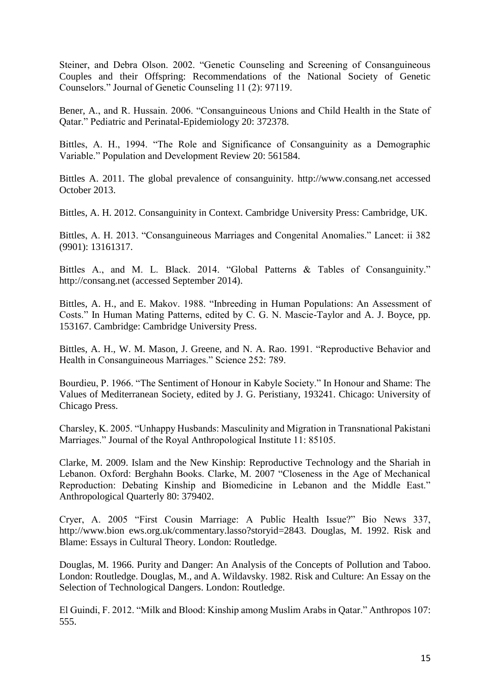Steiner, and Debra Olson. 2002. "Genetic Counseling and Screening of Consanguineous Couples and their Offspring: Recommendations of the National Society of Genetic Counselors." Journal of Genetic Counseling 11 (2): 97119.

Bener, A., and R. Hussain. 2006. "Consanguineous Unions and Child Health in the State of Qatar." Pediatric and Perinatal-Epidemiology 20: 372378.

Bittles, A. H., 1994. "The Role and Significance of Consanguinity as a Demographic Variable." Population and Development Review 20: 561584.

Bittles A. 2011. The global prevalence of consanguinity. http://www.consang.net accessed October 2013.

Bittles, A. H. 2012. Consanguinity in Context. Cambridge University Press: Cambridge, UK.

Bittles, A. H. 2013. "Consanguineous Marriages and Congenital Anomalies." Lancet: ii 382 (9901): 13161317.

Bittles A., and M. L. Black. 2014. "Global Patterns & Tables of Consanguinity." http://consang.net (accessed September 2014).

Bittles, A. H., and E. Makov. 1988. "Inbreeding in Human Populations: An Assessment of Costs." In Human Mating Patterns, edited by C. G. N. Mascie-Taylor and A. J. Boyce, pp. 153167. Cambridge: Cambridge University Press.

Bittles, A. H., W. M. Mason, J. Greene, and N. A. Rao. 1991. "Reproductive Behavior and Health in Consanguineous Marriages." Science 252: 789.

Bourdieu, P. 1966. "The Sentiment of Honour in Kabyle Society." In Honour and Shame: The Values of Mediterranean Society, edited by J. G. Peristiany, 193241. Chicago: University of Chicago Press.

Charsley, K. 2005. "Unhappy Husbands: Masculinity and Migration in Transnational Pakistani Marriages." Journal of the Royal Anthropological Institute 11: 85105.

Clarke, M. 2009. Islam and the New Kinship: Reproductive Technology and the Shariah in Lebanon. Oxford: Berghahn Books. Clarke, M. 2007 "Closeness in the Age of Mechanical Reproduction: Debating Kinship and Biomedicine in Lebanon and the Middle East." Anthropological Quarterly 80: 379402.

Cryer, A. 2005 "First Cousin Marriage: A Public Health Issue?" Bio News 337, http://www.bion ews.org.uk/commentary.lasso?storyid=2843. Douglas, M. 1992. Risk and Blame: Essays in Cultural Theory. London: Routledge.

Douglas, M. 1966. Purity and Danger: An Analysis of the Concepts of Pollution and Taboo. London: Routledge. Douglas, M., and A. Wildavsky. 1982. Risk and Culture: An Essay on the Selection of Technological Dangers. London: Routledge.

El Guindi, F. 2012. "Milk and Blood: Kinship among Muslim Arabs in Qatar." Anthropos 107: 555.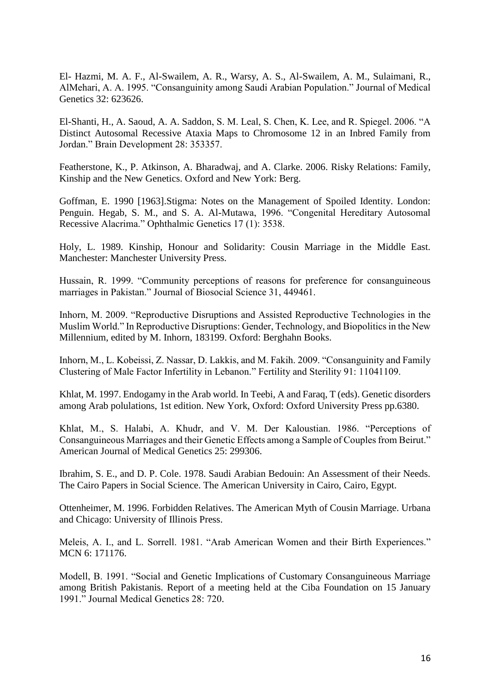El- Hazmi, M. A. F., Al-Swailem, A. R., Warsy, A. S., Al-Swailem, A. M., Sulaimani, R., AlMehari, A. A. 1995. "Consanguinity among Saudi Arabian Population." Journal of Medical Genetics 32: 623626.

El-Shanti, H., A. Saoud, A. A. Saddon, S. M. Leal, S. Chen, K. Lee, and R. Spiegel. 2006. "A Distinct Autosomal Recessive Ataxia Maps to Chromosome 12 in an Inbred Family from Jordan." Brain Development 28: 353357.

Featherstone, K., P. Atkinson, A. Bharadwaj, and A. Clarke. 2006. Risky Relations: Family, Kinship and the New Genetics. Oxford and New York: Berg.

Goffman, E. 1990 [1963].Stigma: Notes on the Management of Spoiled Identity. London: Penguin. Hegab, S. M., and S. A. Al-Mutawa, 1996. "Congenital Hereditary Autosomal Recessive Alacrima." Ophthalmic Genetics 17 (1): 3538.

Holy, L. 1989. Kinship, Honour and Solidarity: Cousin Marriage in the Middle East. Manchester: Manchester University Press.

Hussain, R. 1999. "Community perceptions of reasons for preference for consanguineous marriages in Pakistan." Journal of Biosocial Science 31, 449461.

Inhorn, M. 2009. "Reproductive Disruptions and Assisted Reproductive Technologies in the Muslim World." In Reproductive Disruptions: Gender, Technology, and Biopolitics in the New Millennium, edited by M. Inhorn, 183199. Oxford: Berghahn Books.

Inhorn, M., L. Kobeissi, Z. Nassar, D. Lakkis, and M. Fakih. 2009. "Consanguinity and Family Clustering of Male Factor Infertility in Lebanon." Fertility and Sterility 91: 11041109.

Khlat, M. 1997. Endogamy in the Arab world. In Teebi, A and Faraq, T (eds). Genetic disorders among Arab polulations, 1st edition. New York, Oxford: Oxford University Press pp.6380.

Khlat, M., S. Halabi, A. Khudr, and V. M. Der Kaloustian. 1986. "Perceptions of Consanguineous Marriages and their Genetic Effects among a Sample of Couples from Beirut." American Journal of Medical Genetics 25: 299306.

Ibrahim, S. E., and D. P. Cole. 1978. Saudi Arabian Bedouin: An Assessment of their Needs. The Cairo Papers in Social Science. The American University in Cairo, Cairo, Egypt.

Ottenheimer, M. 1996. Forbidden Relatives. The American Myth of Cousin Marriage. Urbana and Chicago: University of Illinois Press.

Meleis, A. I., and L. Sorrell. 1981. "Arab American Women and their Birth Experiences." MCN 6: 171176.

Modell, B. 1991. "Social and Genetic Implications of Customary Consanguineous Marriage among British Pakistanis. Report of a meeting held at the Ciba Foundation on 15 January 1991." Journal Medical Genetics 28: 720.